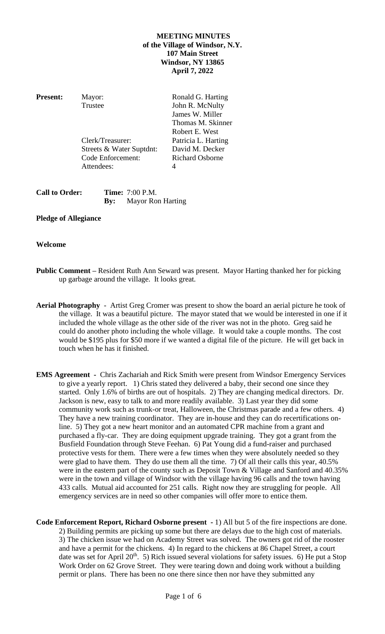# **MEETING MINUTES of the Village of Windsor, N.Y. 107 Main Street Windsor, NY 13865 April 7, 2022**

| <b>Present:</b> | Mayor:                   | Ronald G. Harting      |
|-----------------|--------------------------|------------------------|
|                 | Trustee                  | John R. McNulty        |
|                 |                          | James W. Miller        |
|                 |                          | Thomas M. Skinner      |
|                 |                          | Robert E. West         |
|                 | Clerk/Treasurer:         | Patricia L. Harting    |
|                 | Streets & Water Suptdnt: | David M. Decker        |
|                 | Code Enforcement:        | <b>Richard Osborne</b> |
|                 | Attendees:               | 4                      |
|                 |                          |                        |

| <b>Call to Order:</b> | <b>Time:</b> 7:00 P.M.       |
|-----------------------|------------------------------|
|                       | <b>By:</b> Mayor Ron Harting |

### **Pledge of Allegiance**

## **Welcome**

- **Public Comment –** Resident Ruth Ann Seward was present. Mayor Harting thanked her for picking up garbage around the village. It looks great.
- **Aerial Photography** Artist Greg Cromer was present to show the board an aerial picture he took of the village. It was a beautiful picture. The mayor stated that we would be interested in one if it included the whole village as the other side of the river was not in the photo. Greg said he could do another photo including the whole village. It would take a couple months. The cost would be \$195 plus for \$50 more if we wanted a digital file of the picture. He will get back in touch when he has it finished.
- **EMS Agreement** Chris Zachariah and Rick Smith were present from Windsor Emergency Services to give a yearly report. 1) Chris stated they delivered a baby, their second one since they started. Only 1.6% of births are out of hospitals. 2) They are changing medical directors. Dr. Jackson is new, easy to talk to and more readily available. 3) Last year they did some community work such as trunk-or treat, Halloween, the Christmas parade and a few others. 4) They have a new training coordinator. They are in-house and they can do recertifications online. 5) They got a new heart monitor and an automated CPR machine from a grant and purchased a fly-car. They are doing equipment upgrade training. They got a grant from the Busfield Foundation through Steve Feehan. 6) Pat Young did a fund-raiser and purchased protective vests for them. There were a few times when they were absolutely needed so they were glad to have them. They do use them all the time. 7) Of all their calls this year, 40.5% were in the eastern part of the county such as Deposit Town & Village and Sanford and 40.35% were in the town and village of Windsor with the village having 96 calls and the town having 433 calls. Mutual aid accounted for 251 calls. Right now they are struggling for people. All emergency services are in need so other companies will offer more to entice them.
- **Code Enforcement Report, Richard Osborne present -** 1) All but 5 of the fire inspections are done. 2) Building permits are picking up some but there are delays due to the high cost of materials. 3) The chicken issue we had on Academy Street was solved. The owners got rid of the rooster and have a permit for the chickens. 4) In regard to the chickens at 86 Chapel Street, a court date was set for April 20<sup>th</sup>. 5) Rich issued several violations for safety issues. 6) He put a Stop Work Order on 62 Grove Street. They were tearing down and doing work without a building permit or plans. There has been no one there since then nor have they submitted any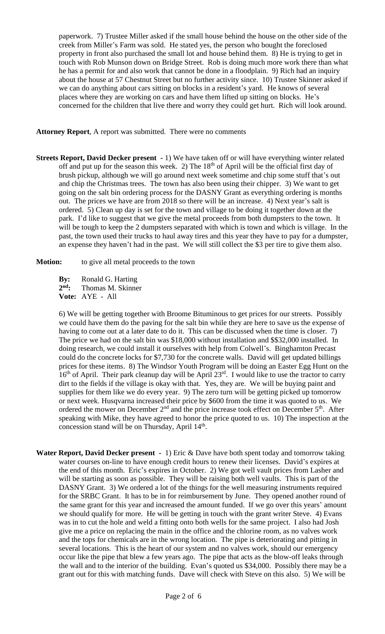paperwork. 7) Trustee Miller asked if the small house behind the house on the other side of the creek from Miller's Farm was sold. He stated yes, the person who bought the foreclosed property in front also purchased the small lot and house behind them. 8) He is trying to get in touch with Rob Munson down on Bridge Street. Rob is doing much more work there than what he has a permit for and also work that cannot be done in a floodplain. 9) Rich had an inquiry about the house at 57 Chestnut Street but no further activity since. 10) Trustee Skinner asked if we can do anything about cars sitting on blocks in a resident's yard. He knows of several places where they are working on cars and have them lifted up sitting on blocks. He's concerned for the children that live there and worry they could get hurt. Rich will look around.

**Attorney Report**, A report was submitted. There were no comments

**Streets Report, David Decker present -** 1) We have taken off or will have everything winter related off and put up for the season this week. 2) The  $18<sup>th</sup>$  of April will be the official first day of brush pickup, although we will go around next week sometime and chip some stuff that's out and chip the Christmas trees. The town has also been using their chipper. 3) We want to get going on the salt bin ordering process for the DASNY Grant as everything ordering is months out. The prices we have are from 2018 so there will be an increase. 4) Next year's salt is ordered. 5) Clean up day is set for the town and village to be doing it together down at the park. I'd like to suggest that we give the metal proceeds from both dumpsters to the town. It will be tough to keep the 2 dumpsters separated with which is town and which is village. In the past, the town used their trucks to haul away tires and this year they have to pay for a dumpster, an expense they haven't had in the past. We will still collect the \$3 per tire to give them also.

**Motion:** to give all metal proceeds to the town

**By:** Ronald G. Harting 2<sup>nd</sup>: **nd:** Thomas M. Skinner **Vote:** AYE - All

6) We will be getting together with Broome Bituminous to get prices for our streets. Possibly we could have them do the paving for the salt bin while they are here to save us the expense of having to come out at a later date to do it. This can be discussed when the time is closer. 7) The price we had on the salt bin was \$18,000 without installation and \$\$32,000 installed. In doing research, we could install it ourselves with help from Colwell's. Binghamton Precast could do the concrete locks for \$7,730 for the concrete walls. David will get updated billings prices for these items. 8) The Windsor Youth Program will be doing an Easter Egg Hunt on the  $16<sup>th</sup>$  of April. Their park cleanup day will be April  $23<sup>rd</sup>$ . I would like to use the tractor to carry dirt to the fields if the village is okay with that. Yes, they are. We will be buying paint and supplies for them like we do every year. 9) The zero turn will be getting picked up tomorrow or next week. Husqvarna increased their price by \$600 from the time it was quoted to us. We ordered the mower on December  $2<sup>nd</sup>$  and the price increase took effect on December  $5<sup>th</sup>$ . After speaking with Mike, they have agreed to honor the price quoted to us. 10) The inspection at the concession stand will be on Thursday, April  $14<sup>th</sup>$ .

**Water Report, David Decker present -** 1) Eric & Dave have both spent today and tomorrow taking water courses on-line to have enough credit hours to renew their licenses. David's expires at the end of this month. Eric's expires in October. 2) We got well vault prices from Lasher and will be starting as soon as possible. They will be raising both well vaults. This is part of the DASNY Grant. 3) We ordered a lot of the things for the well measuring instruments required for the SRBC Grant. It has to be in for reimbursement by June. They opened another round of the same grant for this year and increased the amount funded. If we go over this years' amount we should qualify for more. He will be getting in touch with the grant writer Steve. 4) Evans was in to cut the hole and weld a fitting onto both wells for the same project. I also had Josh give me a price on replacing the main in the office and the chlorine room, as no valves work and the tops for chemicals are in the wrong location. The pipe is deteriorating and pitting in several locations. This is the heart of our system and no valves work, should our emergency occur like the pipe that blew a few years ago. The pipe that acts as the blow-off leaks through the wall and to the interior of the building. Evan's quoted us \$34,000. Possibly there may be a grant out for this with matching funds. Dave will check with Steve on this also. 5) We will be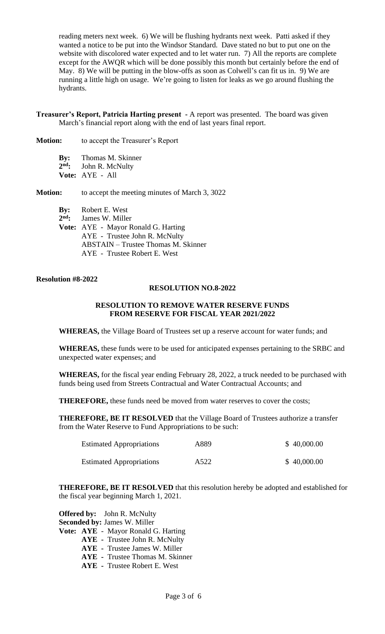reading meters next week. 6) We will be flushing hydrants next week. Patti asked if they wanted a notice to be put into the Windsor Standard. Dave stated no but to put one on the website with discolored water expected and to let water run. 7) All the reports are complete except for the AWQR which will be done possibly this month but certainly before the end of May. 8) We will be putting in the blow-offs as soon as Colwell's can fit us in. 9) We are running a little high on usage. We're going to listen for leaks as we go around flushing the hydrants.

**Treasurer's Report, Patricia Harting present -** A report was presented. The board was given March's financial report along with the end of last years final report.

**Motion:** to accept the Treasurer's Report

**By:** Thomas M. Skinner 2<sup>nd</sup>: **John R. McNulty Vote:** AYE - All

**Motion:** to accept the meeting minutes of March 3, 3022

**By:** Robert E. West 2<sup>nd</sup>: James W. Miller **Vote:** AYE - Mayor Ronald G. Harting AYE - Trustee John R. McNulty ABSTAIN – Trustee Thomas M. Skinner AYE - Trustee Robert E. West

**Resolution #8-2022**

#### **RESOLUTION NO.8-2022**

#### **RESOLUTION TO REMOVE WATER RESERVE FUNDS FROM RESERVE FOR FISCAL YEAR 2021/2022**

**WHEREAS,** the Village Board of Trustees set up a reserve account for water funds; and

**WHEREAS,** these funds were to be used for anticipated expenses pertaining to the SRBC and unexpected water expenses; and

**WHEREAS,** for the fiscal year ending February 28, 2022, a truck needed to be purchased with funds being used from Streets Contractual and Water Contractual Accounts; and

**THEREFORE,** these funds need be moved from water reserves to cover the costs;

**THEREFORE, BE IT RESOLVED** that the Village Board of Trustees authorize a transfer from the Water Reserve to Fund Appropriations to be such:

| <b>Estimated Appropriations</b> | A889 | \$40,000.00 |
|---------------------------------|------|-------------|
| <b>Estimated Appropriations</b> | A522 | \$40,000.00 |

**THEREFORE, BE IT RESOLVED** that this resolution hereby be adopted and established for the fiscal year beginning March 1, 2021.

|                                     | <b>Offered by:</b> John R. McNulty     |  |  |  |
|-------------------------------------|----------------------------------------|--|--|--|
| <b>Seconded by: James W. Miller</b> |                                        |  |  |  |
|                                     | Vote: AYE - Mayor Ronald G. Harting    |  |  |  |
|                                     | <b>AYE</b> - Trustee John R. McNulty   |  |  |  |
|                                     | <b>AYE</b> - Trustee James W. Miller   |  |  |  |
|                                     | <b>AYE</b> - Trustee Thomas M. Skinner |  |  |  |
|                                     | <b>AYE</b> - Trustee Robert E. West    |  |  |  |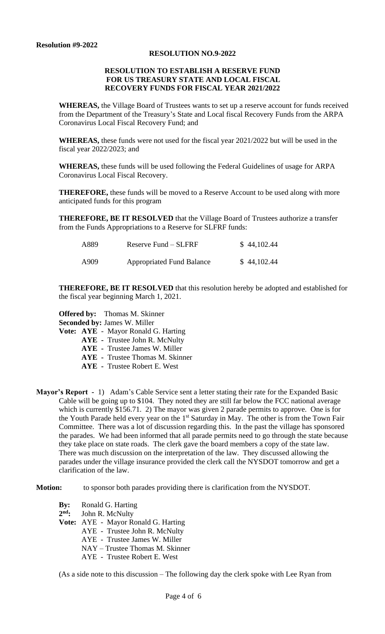#### **RESOLUTION NO.9-2022**

### **RESOLUTION TO ESTABLISH A RESERVE FUND FOR US TREASURY STATE AND LOCAL FISCAL RECOVERY FUNDS FOR FISCAL YEAR 2021/2022**

**WHEREAS,** the Village Board of Trustees wants to set up a reserve account for funds received from the Department of the Treasury's State and Local fiscal Recovery Funds from the ARPA Coronavirus Local Fiscal Recovery Fund; and

**WHEREAS,** these funds were not used for the fiscal year 2021/2022 but will be used in the fiscal year 2022/2023; and

**WHEREAS,** these funds will be used following the Federal Guidelines of usage for ARPA Coronavirus Local Fiscal Recovery.

**THEREFORE,** these funds will be moved to a Reserve Account to be used along with more anticipated funds for this program

**THEREFORE, BE IT RESOLVED** that the Village Board of Trustees authorize a transfer from the Funds Appropriations to a Reserve for SLFRF funds:

| A889 | Reserve Fund $-$ SLFRF           | \$44,102.44 |
|------|----------------------------------|-------------|
| A909 | <b>Appropriated Fund Balance</b> | \$44,102.44 |

**THEREFORE, BE IT RESOLVED** that this resolution hereby be adopted and established for the fiscal year beginning March 1, 2021.

**Offered by:** Thomas M. Skinner **Seconded by:** James W. Miller

**Vote: AYE** - Mayor Ronald G. Harting

- **AYE -** Trustee John R. McNulty
	- **AYE -** Trustee James W. Miller
	- **AYE -** Trustee Thomas M. Skinner
	- **AYE -** Trustee Robert E. West
- **Mayor's Report** 1) Adam's Cable Service sent a letter stating their rate for the Expanded Basic Cable will be going up to \$104. They noted they are still far below the FCC national average which is currently \$156.71. 2) The mayor was given 2 parade permits to approve. One is for the Youth Parade held every year on the 1<sup>st</sup> Saturday in May. The other is from the Town Fair Committee. There was a lot of discussion regarding this. In the past the village has sponsored the parades. We had been informed that all parade permits need to go through the state because they take place on state roads. The clerk gave the board members a copy of the state law. There was much discussion on the interpretation of the law. They discussed allowing the parades under the village insurance provided the clerk call the NYSDOT tomorrow and get a clarification of the law.

**Motion:** to sponsor both parades providing there is clarification from the NYSDOT.

- **By:** Ronald G. Harting
- 2<sup>nd</sup>: **John R. McNulty**
- **Vote:** AYE Mayor Ronald G. Harting
	- AYE Trustee John R. McNulty
	- AYE Trustee James W. Miller
	- NAY Trustee Thomas M. Skinner
	- AYE Trustee Robert E. West

(As a side note to this discussion – The following day the clerk spoke with Lee Ryan from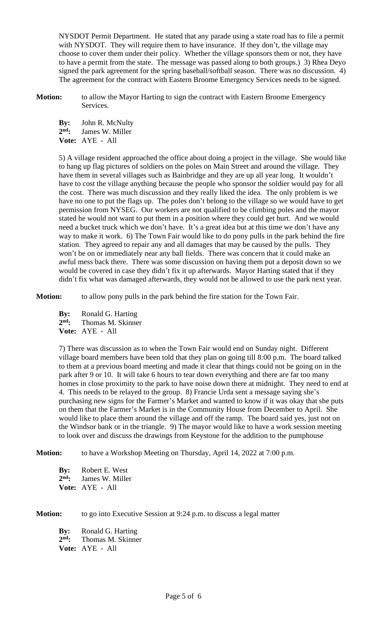NYSDOT Permit Department. He stated that any parade using a state road has to file a permit with NYSDOT. They will require them to have insurance. If they don't, the village may choose to cover them under their policy. Whether the village sponsors them or not, they have to have a permit from the state. The message was passed along to both groups.) 3) Rhea Deyo signed the park agreement for the spring baseball/softball season. There was no discussion. 4) The agreement for the contract with Eastern Broome Emergency Services needs to be signed.

**Motion:** to allow the Mayor Harting to sign the contract with Eastern Broome Emergency Services.

**By:** John R. McNulty 2<sup>nd</sup>: **nd:** James W. Miller **Vote:** AYE - All

5) A village resident approached the office about doing a project in the village. She would like to hang up flag pictures of soldiers on the poles on Main Street and around the village. They have them in several villages such as Bainbridge and they are up all year long. It wouldn't have to cost the village anything because the people who sponsor the soldier would pay for all the cost. There was much discussion and they really liked the idea. The only problem is we have no one to put the flags up. The poles don't belong to the village so we would have to get permission from NYSEG. Our workers are not qualified to be climbing poles and the mayor stated he would not want to put them in a position where they could get hurt. And we would need a bucket truck which we don't have. It's a great idea but at this time we don't have any way to make it work. 6) The Town Fair would like to do pony pulls in the park behind the fire station. They agreed to repair any and all damages that may be caused by the pulls. They won't be on or immediately near any ball fields. There was concern that it could make an awful mess back there. There was some discussion on having them put a deposit down so we would be covered in case they didn't fix it up afterwards. Mayor Harting stated that if they didn't fix what was damaged afterwards, they would not be allowed to use the park next year.

**Motion:** to allow pony pulls in the park behind the fire station for the Town Fair.

**By:** Ronald G. Harting 2nd. **nd:** Thomas M. Skinner **Vote:** AYE - All

7) There was discussion as to when the Town Fair would end on Sunday night. Different village board members have been told that they plan on going till 8:00 p.m. The board talked to them at a previous board meeting and made it clear that things could not be going on in the park after 9 or 10. It will take 6 hours to tear down everything and there are far too many homes in close proximity to the park to have noise down there at midnight. They need to end at 4. This needs to be relayed to the group. 8) Francie Urda sent a message saying she's purchasing new signs for the Farmer's Market and wanted to know if it was okay that she puts on them that the Farmer's Market is in the Community House from December to April. She would like to place them around the village and off the ramp. The board said yes, just not on the Windsor bank or in the triangle. 9) The mayor would like to have a work session meeting to look over and discuss the drawings from Keystone for the addition to the pumphouse

**Motion:** to have a Workshop Meeting on Thursday, April 14, 2022 at 7:00 p.m.

**By:** Robert E. West 2<sup>nd</sup>: James W. Miller **Vote:** AYE - All

**Motion:** to go into Executive Session at 9:24 p.m. to discuss a legal matter **By:** Ronald G. Harting 2<sup>nd</sup>: **nd:** Thomas M. Skinner **Vote:** AYE - All